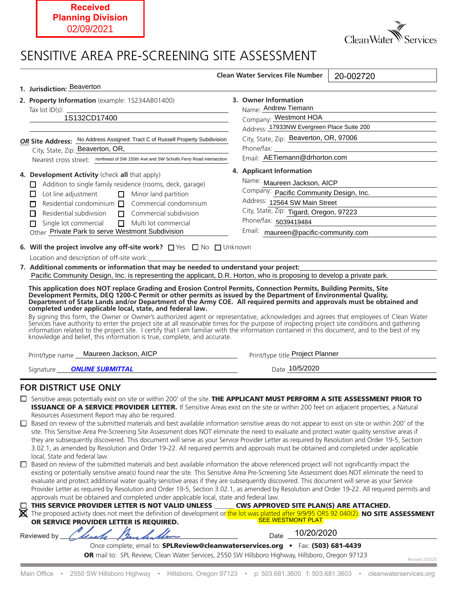## **Received Planning Division** 02/09/2021

**College** 



Revised 2/2020

## SENSITIVE AREA PRE-SCREENING SITE ASSESSMENT

| 1. Jurisdiction: Beaverton                                                                                                           | <b>Clean Water Services File Number</b><br>20-002720                                                                                                                                                                                                                                                                                                                                                                                                                                                                                                                                   |
|--------------------------------------------------------------------------------------------------------------------------------------|----------------------------------------------------------------------------------------------------------------------------------------------------------------------------------------------------------------------------------------------------------------------------------------------------------------------------------------------------------------------------------------------------------------------------------------------------------------------------------------------------------------------------------------------------------------------------------------|
|                                                                                                                                      |                                                                                                                                                                                                                                                                                                                                                                                                                                                                                                                                                                                        |
| 2. Property Information (example: 1S234AB01400)                                                                                      | 3. Owner Information<br>Name: Andrew Tiemann                                                                                                                                                                                                                                                                                                                                                                                                                                                                                                                                           |
|                                                                                                                                      | Company: Westmont HOA                                                                                                                                                                                                                                                                                                                                                                                                                                                                                                                                                                  |
| <u> 1989 - Johann Stoff, deutscher Stoff, der Stoff, der Stoff, der Stoff, der Stoff, der Stoff, der Stoff, der S</u>                | Address: 17933NW Evergreen Place Suite 200                                                                                                                                                                                                                                                                                                                                                                                                                                                                                                                                             |
| OR Site Address: No Address Assigned: Tract C of Russell Property Subdivision                                                        | City, State, Zip: Beaverton, OR, 97006                                                                                                                                                                                                                                                                                                                                                                                                                                                                                                                                                 |
| City, State, Zip: Beaverton, OR,                                                                                                     |                                                                                                                                                                                                                                                                                                                                                                                                                                                                                                                                                                                        |
| Nearest cross street: northeast of SW 155th Ave and SW Scholls Ferry Road intersection                                               | Email: AETiemann@drhorton.com                                                                                                                                                                                                                                                                                                                                                                                                                                                                                                                                                          |
|                                                                                                                                      |                                                                                                                                                                                                                                                                                                                                                                                                                                                                                                                                                                                        |
| 4. Development Activity (check all that apply)                                                                                       | 4. Applicant Information                                                                                                                                                                                                                                                                                                                                                                                                                                                                                                                                                               |
| Addition to single family residence (rooms, deck, garage)<br>П.                                                                      | Name: Maureen Jackson, AICP                                                                                                                                                                                                                                                                                                                                                                                                                                                                                                                                                            |
| Lot line adjustment<br>$\Box$ Minor land partition<br>Ш                                                                              | Company: Pacific Community Design, Inc.                                                                                                                                                                                                                                                                                                                                                                                                                                                                                                                                                |
| Residential condominium $\Box$ Commercial condominium<br>п                                                                           | Address: 12564 SW Main Street                                                                                                                                                                                                                                                                                                                                                                                                                                                                                                                                                          |
| Residential subdivision<br>П<br>П.                                                                                                   | City, State, Zip: Tigard, Oregon, 97223<br>Commercial subdivision                                                                                                                                                                                                                                                                                                                                                                                                                                                                                                                      |
| Single lot commercial<br>$\Box$<br>Multi lot commercial<br>п                                                                         | Phone/fax: 5039419484                                                                                                                                                                                                                                                                                                                                                                                                                                                                                                                                                                  |
| Other Private Park to serve Westmont Subdivision                                                                                     | Email: maureen@pacific-community.com                                                                                                                                                                                                                                                                                                                                                                                                                                                                                                                                                   |
| 6. Will the project involve any off-site work? $\Box$ Yes $\Box$ No $\Box$ Unknown                                                   |                                                                                                                                                                                                                                                                                                                                                                                                                                                                                                                                                                                        |
|                                                                                                                                      | 7. Additional comments or information that may be needed to understand your project:                                                                                                                                                                                                                                                                                                                                                                                                                                                                                                   |
|                                                                                                                                      | Pacific Community Design, Inc. is representing the applicant, D.R. Horton, who is proposing to develop a private park.                                                                                                                                                                                                                                                                                                                                                                                                                                                                 |
| By signing this form, the Owner or Owner's authorized agent or representative, acknowledges and agrees that employees of Clean Water |                                                                                                                                                                                                                                                                                                                                                                                                                                                                                                                                                                                        |
| knowledge and belief, this information is true, complete, and accurate.                                                              | Services have authority to enter the project site at all reasonable times for the purpose of inspecting project site conditions and gathering<br>information related to the project site. 1 certify that I am familiar with the information contained in this document, and to the best of my                                                                                                                                                                                                                                                                                          |
| Print/type name Maureen Jackson, AICP                                                                                                | Print/type title Project Planner                                                                                                                                                                                                                                                                                                                                                                                                                                                                                                                                                       |
| <b>ONLINE SUBMITTAL</b><br>Signature                                                                                                 | Date 10/5/2020<br><u>and the company of the company of the company of the company of the company of the company of the company of the company of the company of the company of the company of the company of the company of the company of the com</u>                                                                                                                                                                                                                                                                                                                                 |
|                                                                                                                                      |                                                                                                                                                                                                                                                                                                                                                                                                                                                                                                                                                                                        |
| <b>FOR DISTRICT USE ONLY</b><br>Resources Assessment Report may also be required.                                                    | $\Box$ Sensitive areas potentially exist on site or within 200' of the site. THE APPLICANT MUST PERFORM A SITE ASSESSMENT PRIOR TO<br>ISSUANCE OF A SERVICE PROVIDER LETTER. If Sensitive Areas exist on the site or within 200 feet on adjacent properties, a Natural                                                                                                                                                                                                                                                                                                                 |
| $\Box$                                                                                                                               | Based on review of the submitted materials and best available information sensitive areas do not appear to exist on site or within 200' of the<br>site. This Sensitive Area Pre-Screening Site Assessment does NOT eliminate the need to evaluate and protect water quality sensitive areas if<br>they are subsequently discovered. This document will serve as your Service Provider Letter as required by Resolution and Order 19-5, Section<br>3.02.1, as amended by Resolution and Order 19-22. All required permits and approvals must be obtained and completed under applicable |
| local, State and federal law.<br>□                                                                                                   | Based on review of the submitted materials and best available information the above referenced project will not significantly impact the<br>existing or potentially sensitive area(s) found near the site. This Sensitive Area Pre-Screening Site Assessment does NOT eliminate the need to                                                                                                                                                                                                                                                                                            |
| approvals must be obtained and completed under applicable local, state and federal law.                                              | evaluate and protect additional water quality sensitive areas if they are subsequently discovered. This document will serve as your Service<br>Provider Letter as required by Resolution and Order 19-5, Section 3.02.1, as amended by Resolution and Order 19-22. All required permits and                                                                                                                                                                                                                                                                                            |
| THIS SERVICE PROVIDER LETTER IS NOT VALID UNLESS                                                                                     | CWS APPROVED SITE PLAN(S) ARE ATTACHED.                                                                                                                                                                                                                                                                                                                                                                                                                                                                                                                                                |
|                                                                                                                                      | X The proposed activity does not meet the definition of development or the lot was platted after 9/9/95 ORS 92.040(2). NO SITE ASSESSMENT                                                                                                                                                                                                                                                                                                                                                                                                                                              |
| OR SERVICE PROVIDER LETTER IS REQUIRED.                                                                                              | <b>SEE WESTMONT PLAT</b><br>10/20/2020                                                                                                                                                                                                                                                                                                                                                                                                                                                                                                                                                 |

Main Office • 2550 SW Hillsboro Highway • Hillsboro, Oregon 97123 • p: 503.681.3600 f: 503.681.3603 • cleanwaterservices.org

OR mail to: SPL Review, Clean Water Services, 2550 SW Hillsboro Highway, Hillsboro, Oregon 97123

a sa kabila sa kasang sa kabilang sa kasang sa kasang sa kasang sa kasang sa kasang sa kasang sa kasang sa kas